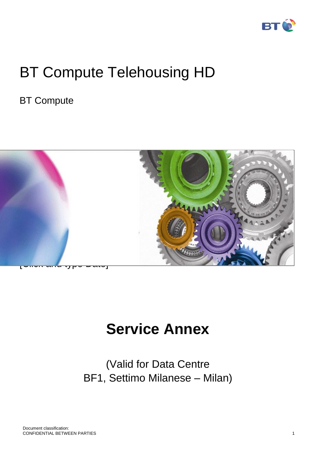

# BT Compute Telehousing HD

# BT Compute



# **Service Annex**

(Valid for Data Centre BF1, Settimo Milanese – Milan)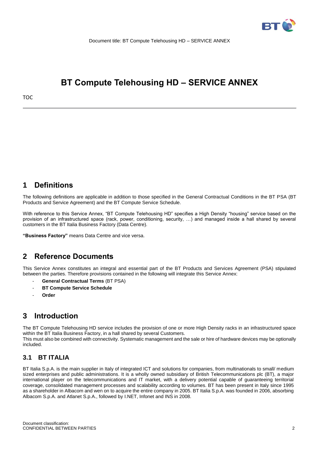

# **BT Compute Telehousing HD – SERVICE ANNEX**

# **1 Definitions**

The following definitions are applicable in addition to those specified in the General Contractual Conditions in the BT PSA (BT Products and Service Agreement) and the BT Compute Service Schedule.

With reference to this Service Annex, "BT Compute Telehousing HD" specifies a High Density "housing" service based on the provision of an infrastructured space (rack, power, conditioning, security, …) and managed inside a hall shared by several customers in the BT Italia Business Factory (Data Centre).

**"Business Factory"** means Data Centre and vice versa.

# **2 Reference Documents**

This Service Annex constitutes an integral and essential part of the BT Products and Services Agreement (PSA) stipulated between the parties. Therefore provisions contained in the following will integrate this Service Annex:

- **General Contractual Terms** (BT PSA)
- **BT Compute Service Schedule**
- **Order**

# **3 Introduction**

The BT Compute Telehousing HD service includes the provision of one or more High Density racks in an infrastructured space within the BT Italia Business Factory, in a hall shared by several Customers. This must also be combined with connectivity. Systematic management and the sale or hire of hardware devices may be optionally included.

# **3.1 BT ITALIA**

BT Italia S.p.A. is the main supplier in Italy of integrated ICT and solutions for companies, from multinationals to small/ medium sized enterprises and public administrations. It is a wholly owned subsidiary of British Telecommunications plc (BT), a major international player on the telecommunications and IT market, with a delivery potential capable of guaranteeing territorial coverage, consolidated management processes and scalability according to volumes. BT has been present in Italy since 1995 as a shareholder in Albacom and wen on to acquire the entire company in 2005. BT Italia S.p.A. was founded in 2006, absorbing Albacom S.p.A. and Atlanet S.p.A., followed by I.NET, Infonet and INS in 2008.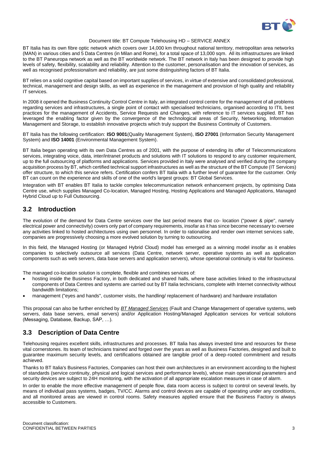

BT Italia has its own fibre optic network which covers over 14,000 km throughout national territory, metropolitan area networks (MAN) in various cities and 5 Data Centres (in Milan and Rome), for a total space of 13,000 sqm. All its infrastructures are linked to the BT Paneuropa network as well as the BT worldwide network. The BT network in Italy has been designed to provide high levels of safety, flexibility, scalability and reliability. Attention to the customer, personalisation and the innovation of services, as well as recognised professionalism and reliability, are just some distinguishing factors of BT Italia.

BT relies on a solid cognitive capital based on important supplies of services, in virtue of extensive and consolidated professional, technical, management and design skills, as well as experience in the management and provision of high quality and reliability IT services.

In 2008 it opened the Business Continuity Control Centre in Italy, an integrated control centre for the management of all problems regarding services and infrastructures, a single point of contact with specialised technicians, organised according to ITIL best practices for the management of Accidents, Service Requests and Changes, with reference to IT services supplied. BT has leveraged the enabling factor given by the convergence of the technological areas of Security, Networking, Information Management and Storage, to establish innovative projects which truly support the Business Continuity of Customers.

BT Italia has the following certification: **ISO 9001**(Quality Management System), **ISO 27001** (Information Security Management System) and **ISO 14001** (Environmental Management System).

BT Italia began operating with its own Data Centres as of 2001, with the purpose of extending its offer of Telecommunications services, integrating voice, data, inter/intranet products and solutions with IT solutions to respond to any customer requirement, up to the full outsourcing of platforms and applications. Services provided in Italy were analysed and verified during the company acquisition process by BT, which certified technical support infrastructures as well as the structure of the BT Compute (IT Services) offer structure, to which this service refers. Certification confers BT Italia with a further level of guarantee for the customer. Only BT can count on the experience and skills of one of the world's largest groups: BT Global Services.

Integration with BT enables BT Italia to tackle complex telecommunication network enhancement projects, by optimising Data Centre use, which supplies Managed Co-location, Managed Hosting, Hosting Applications and Managed Applications, Managed Hybrid Cloud up to Full Outsourcing.

# **3.2 Introduction**

The evolution of the demand for Data Centre services over the last period means that co- location ("power & pipe", namely electrical power and connectivity) covers only part of company requirements, insofar as it has since become necessary to oversee any activities linked to hosted architectures using own personnel. In order to rationalise and render own internet services safe, companies are progressively choosing a more evolved solution by turning to outsourcing.

In this field, the Managed Hosting (or Managed Hybrid Cloud) model has emerged as a winning model insofar as it enables companies to selectively outsource all services (Data Centre, network server, operative systems as well as application components such as web servers, data base servers and application servers), whose operational continuity is vital for business.

The managed co-location solution is complete, flexible and combines services of:

- hosting inside the Business Factory, in both dedicated and shared halls, where base activities linked to the infrastructural components of Data Centres and systems are carried out by BT Italia technicians, complete with Internet connectivity without bandwidth limitations;
- management ("eyes and hands", customer visits, the handling/ replacement of hardware) and hardware installation

This proposal can also be further enriched by *BT Managed Services* (Fault and Change Management of operative systems, web servers, data base servers, email servers) and/or Application Hosting/Managed Application services for vertical solutions (Messaging, Database, Backup, SAP, …).

# **3.3 Description of Data Centre**

Telehousing requires excellent skills, infrastructures and processes. BT Italia has always invested time and resources for these vital cornerstones. Its team of technicians trained and forged over the years as well as Business Factories, designed and built to guarantee maximum security levels, and certifications obtained are tangible proof of a deep-rooted commitment and results achieved.

Thanks to BT Italia's Business Factories, Companies can host their own architectures in an environment according to the highest of standards (service continuity, physical and logical services and performance levels), whose main operational parameters and security devices are subject to 24H monitoring, with the activation of all appropriate escalation measures in case of alarm.

In order to enable the more effective management of people flow, data room access is subject to control on several levels, by means of individual pass systems, badges, TV/CC. Alarms and control devices are capable of operating under any conditions, and all monitored areas are viewed in control rooms. Safety measures applied ensure that the Business Factory is always accessible to Customers.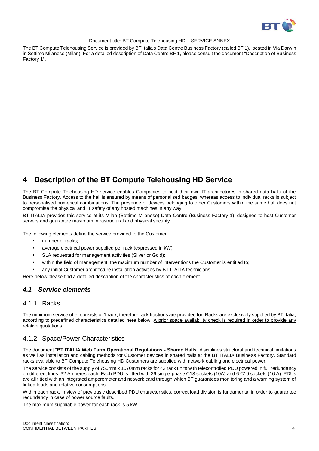

The BT Compute Telehousing Service is provided by BT Italia's Data Centre Business Factory (called BF 1), located in Via Darwin in Settimo Milanese (Milan). For a detailed description of Data Centre BF 1, please consult the document "Description of Business Factory 1".

# **4 Description of the BT Compute Telehousing HD Service**

The BT Compute Telehousing HD service enables Companies to host their own IT architectures in shared data halls of the Business Factory. Access to the hall is ensured by means of personalised badges, whereas access to individual racks is subject to personalised numerical combinations. The presence of devices belonging to other Customers within the same hall does not compromise the physical and IT safety of any hosted machines in any way.

BT ITALIA provides this service at its Milan (Settimo Milanese) Data Centre (Business Factory 1), designed to host Customer servers and guarantee maximum infrastructural and physical security.

The following elements define the service provided to the Customer:

- number of racks;
- average electrical power supplied per rack (expressed in kW);
- SLA requested for management activities (Silver or Gold);
- within the field of management, the maximum number of interventions the Customer is entitled to;
- any initial Customer architecture installation activities by BT ITALIA technicians.

Here below please find a detailed description of the characteristics of each element.

# *4.1 Service elements*

## 4.1.1 Racks

The minimum service offer consists of 1 rack, therefore rack fractions are provided for. Racks are exclusively supplied by BT Italia, according to predefined characteristics detailed here below. A prior space availability check is required in order to provide any relative quotations

# 4.1.2 Space/Power Characteristics

The document "**BT ITALIA Web Farm Operational Regulations - Shared Halls**" disciplines structural and technical limitations as well as installation and cabling methods for Customer devices in shared halls at the BT ITALIA Business Factory. Standard racks available to BT Compute Telehousing HD Customers are supplied with network cabling and electrical power.

The service consists of the supply of 750mm x 1070mm racks for 42 rack units with telecontrolled PDU powered in full redundancy on different lines, 32 Amperes each. Each PDU is fitted with 36 single-phase C13 sockets (10A) and 6 C19 sockets (16 A). PDUs are all fitted with an integrated amperometer and network card through which BT guarantees monitoring and a warning system of linked loads and relative consumptions.

Within each rack, in view of previously described PDU characteristics, correct load division is fundamental in order to guarantee redundancy in case of power source faults.

The maximum suppliable power for each rack is 5 kW.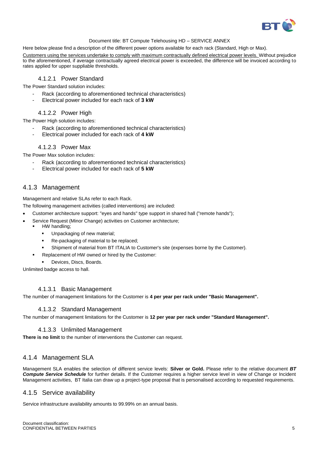

Here below please find a description of the different power options available for each rack (Standard, High or Max).

Customers using the services undertake to comply with maximum contractually defined electrical power levels. Without prejudice to the aforementioned, if average contractually agreed electrical power is exceeded, the difference will be invoiced according to rates applied for upper suppliable thresholds.

## 4.1.2.1 Power Standard

The Power Standard solution includes:

- Rack (according to aforementioned technical characteristics)
- Electrical power included for each rack of **3 kW**

# 4.1.2.2 Power High

The Power High solution includes:

- Rack (according to aforementioned technical characteristics)
- Electrical power included for each rack of **4 kW**

## 4.1.2.3 Power Max

The Power Max solution includes:

- Rack (according to aforementioned technical characteristics)
- Electrical power included for each rack of **5 kW**

# 4.1.3 Management

Management and relative SLAs refer to each Rack.

The following management activities (called interventions) are included:

- Customer architecture support: "eyes and hands" type support in shared hall ("remote hands");
- Service Request (Minor Change) activities on Customer architecture;
	- HW handling;
		- Unpackaging of new material;
		- Re-packaging of material to be replaced;
		- Shipment of material from BT ITALIA to Customer's site (expenses borne by the Customer).
		- Replacement of HW owned or hired by the Customer:
	- Devices, Discs, Boards.

Unlimited badge access to hall.

## 4.1.3.1 Basic Management

The number of management limitations for the Customer is **4 per year per rack under "Basic Management".**

#### 4.1.3.2 Standard Management

The number of management limitations for the Customer is **12 per year per rack under "Standard Management".**

## 4.1.3.3 Unlimited Management

**There is no limit** to the number of interventions the Customer can request.

# 4.1.4 Management SLA

Management SLA enables the selection of different service levels: **Silver or Gold.** Please refer to the relative document *BT Compute Service Schedule* for further details. If the Customer requires a higher service level in view of Change or Incident Management activities, BT Italia can draw up a project-type proposal that is personalised according to requested requirements.

## 4.1.5 Service availability

Service infrastructure availability amounts to 99.99% on an annual basis.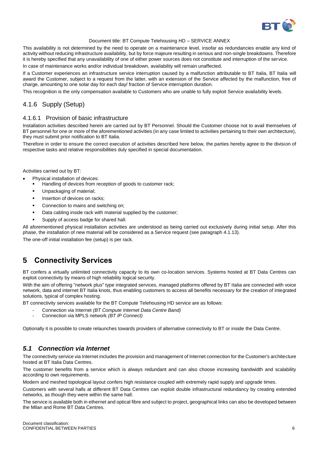

This availability is not determined by the need to operate on a maintenance level, insofar as redundancies enable any kind of activity without reducing infrastructure availability, but by force majeure resulting in serious and non-single breakdowns. Therefore it is hereby specified that any unavailability of one of either power sources does not constitute and interruption of the service.

In case of maintenance works and/or individual breakdown, availability will remain unaffected.

If a Customer experiences an infrastructure service interruption caused by a malfunction attributable to BT Italia, BT Italia will award the Customer, subject to a request from the latter, with an extension of the Service affected by the malfunction, free of charge, amounting to one solar day for each day/ fraction of Service interruption duration.

This recognition is the only compensation available to Customers who are unable to fully exploit Service availability levels.

# 4.1.6 Supply (Setup)

#### 4.1.6.1 Provision of basic infrastructure

Installation activities described herein are carried out by BT Personnel. Should the Customer choose not to avail themselves of BT personnel for one or more of the aforementioned activities (in any case limited to activities pertaining to their own architecture), they must submit prior notification to BT Italia.

Therefore in order to ensure the correct execution of activities described here below, the parties hereby agree to the division of respective tasks and relative responsibilities duly specified in special documentation.

Activities carried out by BT:

- Physical installation of devices:
	- Handling of devices from reception of goods to customer rack;
	- Unpackaging of material;
	- Insertion of devices on racks;
	- Connection to mains and switching on;
	- Data cabling inside rack with material supplied by the customer;
	- Supply of access badge for shared hall.

All aforementioned physical installation activities are understood as being carried out exclusively during initial setup. After this phase, the installation of new material will be considered as a Service request (see paragraph 4.1.13).

The one-off initial installation fee (setup) is per rack.

# **5 Connectivity Services**

BT confers a virtually unlimited connectivity capacity to its own co-location services. Systems hosted at BT Data Centres can exploit connectivity by means of high reliability logical security.

With the aim of offering "network plus" type integrated services, managed platforms offered by BT Italia are connected with voice network, data and internet BT Italia knots, thus enabling customers to access all benefits necessary for the creation of integrated solutions, typical of complex hosting.

BT connectivity services available for the BT Compute Telehousing HD service are as follows:

- Connection via Internet *(BT Compute Internet Data Centre Band)*
- Connection via MPLS network *(BT IP Connect)*

Optionally it is possible to create relaunches towards providers of alternative connectivity to BT or inside the Data Centre.

## *5.1 Connection via Internet*

The connectivity service via Internet includes the provision and management of Internet connection for the Customer's architecture hosted at BT Italia Data Centres.

The customer benefits from a service which is always redundant and can also choose increasing bandwidth and scalability according to own requirements.

Modern and meshed topological layout confers high resistance coupled with extremely rapid supply and upgrade times.

Customers with several halls at different BT Data Centres can exploit double infrastructural redundancy by creating extended networks, as though they were within the same hall.

The service is available both in ethernet and optical fibre and subject to project, geographical links can also be developed between the Milan and Rome BT Data Centres.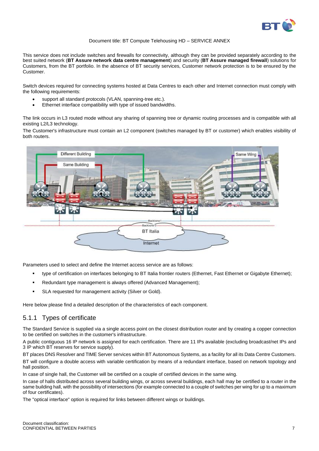

This service does not include switches and firewalls for connectivity, although they can be provided separately according to the best suited network (**BT Assure network data centre management**) and security (**BT Assure managed firewall**) solutions for Customers, from the BT portfolio. In the absence of BT security services, Customer network protection is to be ensured by the Customer.

Switch devices required for connecting systems hosted at Data Centres to each other and Internet connection must comply with the following requirements:

- support all standard protocols (VLAN, spanning-tree etc.).
- Ethernet interface compatibility with type of issued bandwidths.

The link occurs in L3 routed mode without any sharing of spanning tree or dynamic routing processes and is compatible with all existing L2/L3 technology.

The Customer's infrastructure must contain an L2 component (switches managed by BT or customer) which enables visibility of both routers.



Parameters used to select and define the Internet access service are as follows:

- type of certification on interfaces belonging to BT Italia frontier routers (Ethernet, Fast Ethernet or Gigabyte Ethernet);
- Redundant type management is always offered (Advanced Management);
- SLA requested for management activity (Silver or Gold).

Here below please find a detailed description of the characteristics of each component.

## 5.1.1 Types of certificate

The Standard Service is supplied via a single access point on the closest distribution router and by creating a copper connection to be certified on switches in the customer's infrastructure.

A public contiguous 16 IP network is assigned for each certification. There are 11 IPs available (excluding broadcast/net IPs and 3 IP which BT reserves for service supply).

BT places DNS Resolver and TIME Server services within BT Autonomous Systems, as a facility for all its Data Centre Customers. BT will configure a double access with variable certification by means of a redundant interface, based on network topology and hall position.

In case of single hall, the Customer will be certified on a couple of certified devices in the same wing.

In case of halls distributed across several building wings, or across several buildings, each hall may be certified to a router in the same building hall, with the possibility of intersections (for example connected to a couple of switches per wing for up to a maximum of four certificates).

The "optical interface" option is required for links between different wings or buildings.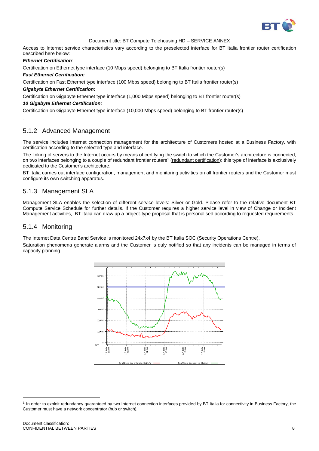

Access to Internet service characteristics vary according to the preselected interface for BT Italia frontier router certification described here below:

#### *Ethernet Certification:*

.

Certification on Ethernet type interface (10 Mbps speed) belonging to BT Italia frontier router(s)

#### *Fast Ethernet Certification:*

Certification on Fast Ethernet type interface (100 Mbps speed) belonging to BT Italia frontier router(s) *Gigabyte Ethernet Certification:*

Certification on Gigabyte Ethernet type interface (1,000 Mbps speed) belonging to BT frontier router(s)

#### *10 Gigabyte Ethernet Certification:*

Certification on Gigabyte Ethernet type interface (10,000 Mbps speed) belonging to BT frontier router(s)

# 5.1.2 Advanced Management

The service includes Internet connection management for the architecture of Customers hosted at a Business Factory, with certification according to the selected type and interface.

The linking of servers to the Internet occurs by means of certifying the switch to which the Customer's architecture is connected, on two interfaces belonging to a couple of redundant frontier routers<sup>1</sup> (redundant certification); this type of interface is exclusively dedicated to the Customer's architecture.

BT Italia carries out interface configuration, management and monitoring activities on all frontier routers and the Customer must configure its own switching apparatus.

# 5.1.3 Management SLA

Management SLA enables the selection of different service levels: Silver or Gold. Please refer to the relative document BT Compute Service Schedule for further details. If the Customer requires a higher service level in view of Change or Incident Management activities, BT Italia can draw up a project-type proposal that is personalised according to requested requirements.

## 5.1.4 Monitoring

The Internet Data Centre Band Service is monitored 24x7x4 by the BT Italia SOC (Security Operations Centre).

Saturation phenomena generate alarms and the Customer is duly notified so that any incidents can be managed in terms of capacity planning.



l

<sup>&</sup>lt;sup>1</sup> In order to exploit redundancy guaranteed by two Internet connection interfaces provided by BT Italia for connectivity in Business Factory, the Customer must have a network concentrator (hub or switch).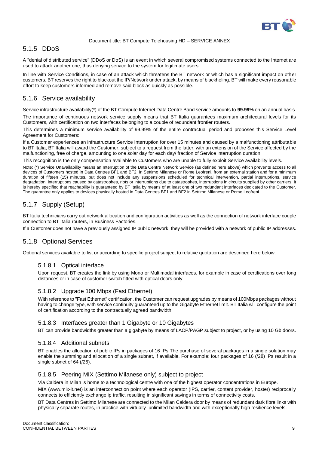

# 5.1.5 DDoS

A "denial of distributed service" (DDoS or DoS) is an event in which several compromised systems connected to the Internet are used to attack another one, thus denying service to the system for legitimate users.

In line with Service Conditions, in case of an attack which threatens the BT network or which has a significant impact on other customers, BT reserves the right to blackout the IP/Network under attack, by means of blackholing. BT will make every reasonable effort to keep customers informed and remove said block as quickly as possible.

# 5.1.6 Service availability

Service infrastructure availability(\*) of the BT Compute Internet Data Centre Band service amounts to **99.99%** on an annual basis.

The importance of continuous network service supply means that BT Italia guarantees maximum architectural levels for its Customers, with certification on two interfaces belonging to a couple of redundant frontier routers.

This determines a minimum service availability of 99.99% of the entire contractual period and proposes this Service Level Agreement for Customers:

If a Customer experiences an infrastructure Service Interruption for over 15 minutes and caused by a malfunctioning attributable to BT Italia, BT Italia will award the Customer, subject to a request from the latter, with an extension of the Service affected by the malfunctioning, free of charge, amounting to one solar day for each day/ fraction of Service interruption duration.

This recognition is the only compensation available to Customers who are unable to fully exploit Service availability levels.

Note: (\*) Service Unavailability means an Interruption of the Data Centre Network Service (as defined here above) which prevents access to all devices of Customers hosted in Data Centres BF1 and BF2 in Settimo Milanese or Rome Leofreni, from an external station and for a minimum duration of fifteen (15) minutes, but does not include any suspensions scheduled for technical intervention, partial interruptions, service degradation, interruptions caused by catastrophes, riots or interruptions due to catastrophes, interruptions in circuits supplied by other carriers. It is hereby specified that reachability is guaranteed by BT Italia by means of at least one of two redundant interfaces dedicated to the Customer. The guarantee only applies to devices physically hosted in Data Centres BF1 and BF2 in Settimo Milanese or Rome Leofreni.

# 5.1.7 Supply (Setup)

BT Italia technicians carry out network allocation and configuration activities as well as the connection of network interface couple connection to BT Italia routers, in Business Factories.

If a Customer does not have a previously assigned IP public network, they will be provided with a network of public IP addresses.

# 5.1.8 Optional Services

Optional services available to list or according to specific project subject to relative quotation are described here below.

## 5.1.8.1 Optical interface

Upon request, BT creates the link by using Mono or Multimodal interfaces, for example in case of certifications over long distances or in case of customer switch fitted with optical doors only.

#### 5.1.8.2 Upgrade 100 Mbps (Fast Ethernet)

With reference to "Fast Ethernet" certification, the Customer can request upgrades by means of 100Mbps packages without having to change type, with service continuity guaranteed up to the Gigabyte Ethernet limit. BT Italia will configure the point of certification according to the contractually agreed bandwidth.

#### 5.1.8.3 Interfaces greater than 1 Gigabyte or 10 Gigabytes

BT can provide bandwidths greater than a gigabyte by means of LACP/PAGP subject to project, or by using 10 Gb doors.

#### 5.1.8.4 Additional subnets

BT enables the allocation of public IPs in packages of 16 IPs The purchase of several packages in a single solution may enable the summing and allocation of a single subnet, if available. For example: four packages of 16 (/28) IPs result in a single subnet of 64 (/26).

#### 5.1.8.5 Peering MIX (Settimo Milanese only) subject to project

Via Caldera in Milan is home to a technological centre with one of the highest operator concentrations in Europe.

MIX [\(www.mix-it.net\)](http://www.mix-it.net/) is an interconnection point where each operator (IPS, carrier, content provider, hoster) reciprocally connects to efficiently exchange ip traffic, resulting in significant savings in terms of connectivity costs.

BT Data Centres in Settimo Milanese are connected to the Milan Caldera door by means of redundant dark fibre links with physically separate routes, in practice with virtually unlimited bandwidth and with exceptionally high resilience levels.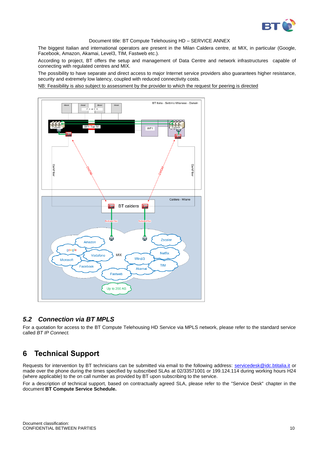

The biggest Italian and international operators are present in the Milan Caldera centre, at MIX, in particular (Google, Facebook, Amazon, Akamai, Level3, TIM, Fastweb etc.).

According to project, BT offers the setup and management of Data Centre and network infrastructures capable of connecting with regulated centres and MIX.

The possibility to have separate and direct access to major Internet service providers also guarantees higher resistance, security and extremely low latency, coupled with reduced connectivity costs.

NB: Feasibility is also subject to assessment by the provider to which the request for peering is directed



# *5.2 Connection via BT MPLS*

For a quotation for access to the BT Compute Telehousing HD Service via MPLS network, please refer to the standard service called *BT IP Connect.*

# **6 Technical Support**

Requests for intervention by BT technicians can be submitted via email to the following address: [servicedesk@idc.btitalia.it](mailto:servicedesk@idc.btitalia.it) or made over the phone during the times specified by subscribed SLAs at 02/33571001 or 199.124.114 during working hours H24 (where applicable) to the on call number as provided by BT upon subscribing to the service.

For a description of technical support, based on contractually agreed SLA, please refer to the "Service Desk" chapter in the document **BT Compute Service Schedule.**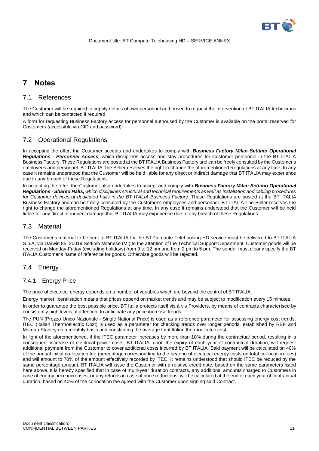

# **7 Notes**

# 7.1 References

The Customer will be required to supply details of own personnel authorised to request the intervention of BT ITALIA technicians and which can be contacted if required.

A form for requesting Business Factory access for personnel authorised by the Customer is available on the portal reserved for Customers (accessible via CID and password).

# 7.2 Operational Regulations

In accepting the offer, the Customer accepts and undertakes to comply with *Business Factory Milan Settimo Operational Regulations - Personnel Access,* which disciplines access and stay procedures for Customer personnel in the BT ITALIA Business Factory. These Regulations are posted at the BT ITALIA Business Factory and can be freely consulted by the Customer's employees and personnel. BT ITALIA The Seller reserves the right to change the aforementioned Regulations at any time. In any case it remains understood that the Customer will be held liable for any direct or indirect damage that BT ITALIA may experience due to any breach of these Regulations.

In accepting the offer, the Customer also undertakes to accept and comply with *Business Factory Milan Settimo Operational Regulations - Shared Halls, which disciplines structural and technical requirements as well as installation and cabling procedures for Customer devices at dedicated halls in the BT ITALIA Business Factory.* These Regulations are posted at the BT ITALIA Business Factory and can be freely consulted by the Customer's employees and personnel. BT ITALIA The Seller reserves the right to change the aforementioned Regulations at any time. In any case it remains understood that the Customer will be held liable for any direct or indirect damage that BT ITALIA may experience due to any breach of these Regulations.

# 7.3 Material

The Customer's material to be sent to BT ITALIA for the BT Compute Telehousing HD service must be delivered to BT ITALIA S.p.A, via Darwin 85, 20019 Settimo Milanese (MI) to the attention of the Technical Support Department. Customer goods will be received on Monday-Friday (excluding holidays) from 9 to 12 pm and from 2 pm to 5 pm. The sender must clearly specify the BT ITALIA Customer's name of reference for goods. Otherwise goods will be rejected.

# 7.4 Energy

## 7.4.1 Energy Price

The price of electrical energy depends on a number of variables which are beyond the control of BT ITALIA.

Energy market liberalisation means that prices depend on market trends and may be subject to modification every 15 minutes.

In order to guarantee the best possible price, BT Italia protects itself vis à vis Providers, by means of contracts characterised by consistently high levels of attention, to anticipate any price increase trends.

The PUN (Prezzo Unico Nazionale - Single National Price) is used as a reference parameter for assessing energy cost trends. ITEC (Italian Thermoelectric Cost) is used as a parameter for checking trends over longer periods, established by REF and Morgan Stanley on a monthly basis and constituting the average total Italian thermoelectric cost.

In light of the aforementioned, if the ITEC parameter increases by more than 10% during the contractual period, resulting in a consequent increase of electrical power costs, BT ITALIA, upon the expiry of each year of contractual duration, will request additional payment from the Customer to cover additional costs incurred by BT ITALIA. Said payment will be calculated on 40% of the annual initial co-location fee (percentage corresponding to the bearing of electrical energy costs on total co-location fees) and will amount to 70% of the amount effectively recorded by ITEC. It remains understood that should ITEC be reduced by the same percentage amount, BT ITALIA will issue the Customer with a relative credit note, based on the same parameters listed here above. It is hereby specified that in case of multi-year duration contracts, any additional amounts charged to Customers in case of energy price increases, or any refunds in case of price reductions, will be calculated at the end of each year of contractual duration, based on 40% of the co-location fee agreed with the Customer upon signing said Contract.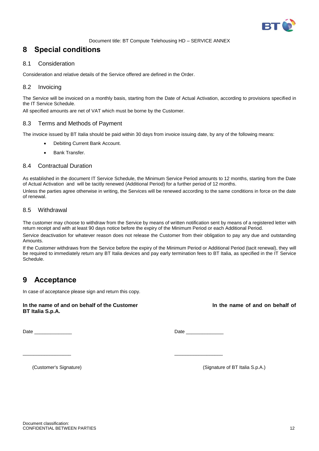

# **8 Special conditions**

#### 8.1 Consideration

Consideration and relative details of the Service offered are defined in the Order.

## 8.2 Invoicing

The Service will be invoiced on a monthly basis, starting from the Date of Actual Activation, according to provisions specified in the IT Service Schedule.

All specified amounts are net of VAT which must be borne by the Customer.

#### 8.3 Terms and Methods of Payment

The invoice issued by BT Italia should be paid within 30 days from invoice issuing date, by any of the following means:

- Debiting Current Bank Account.
- Bank Transfer.

#### 8.4 Contractual Duration

As established in the document IT Service Schedule, the Minimum Service Period amounts to 12 months, starting from the Date of Actual Activation and will be tacitly renewed (Additional Period) for a further period of 12 months. Unless the parties agree otherwise in writing, the Services will be renewed according to the same conditions in force on the date of renewal.

#### 8.5 Withdrawal

The customer may choose to withdraw from the Service by means of written notification sent by means of a registered letter with return receipt and with at least 90 days notice before the expiry of the Minimum Period or each Additional Period.

Service deactivation for whatever reason does not release the Customer from their obligation to pay any due and outstanding Amounts.

If the Customer withdraws from the Service before the expiry of the Minimum Period or Additional Period (tacit renewal), they will be required to immediately return any BT Italia devices and pay early termination fees to BT Italia, as specified in the IT Service Schedule.

# **9 Acceptance**

In case of acceptance please sign and return this copy.

**In the name of and on behalf of the Customer In the name of and on behalf of BT Italia S.p.A.**

 $\overline{\phantom{a}}$  , and the contract of the contract of the contract of the contract of the contract of the contract of the contract of the contract of the contract of the contract of the contract of the contract of the contrac

Date \_\_\_\_\_\_\_\_\_\_\_\_\_\_ Date \_\_\_\_\_\_\_\_\_\_\_\_\_\_

(Customer's Signature) (Signature of BT Italia S.p.A.)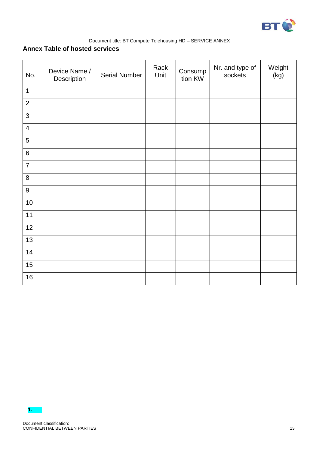

# **Annex Table of hosted services**

| No.              | Device Name /<br>Description | Serial Number | Rack<br>Unit | Consump<br>tion KW | Nr. and type of<br>sockets | Weight<br>(kg) |
|------------------|------------------------------|---------------|--------------|--------------------|----------------------------|----------------|
| $\mathbf{1}$     |                              |               |              |                    |                            |                |
| $\overline{2}$   |                              |               |              |                    |                            |                |
| $\mathfrak{S}$   |                              |               |              |                    |                            |                |
| $\overline{4}$   |                              |               |              |                    |                            |                |
| 5                |                              |               |              |                    |                            |                |
| $\,6\,$          |                              |               |              |                    |                            |                |
| $\overline{7}$   |                              |               |              |                    |                            |                |
| 8                |                              |               |              |                    |                            |                |
| $\boldsymbol{9}$ |                              |               |              |                    |                            |                |
| 10               |                              |               |              |                    |                            |                |
| 11               |                              |               |              |                    |                            |                |
| 12               |                              |               |              |                    |                            |                |
| 13               |                              |               |              |                    |                            |                |
| 14               |                              |               |              |                    |                            |                |
| 15               |                              |               |              |                    |                            |                |
| 16               |                              |               |              |                    |                            |                |

**1.**